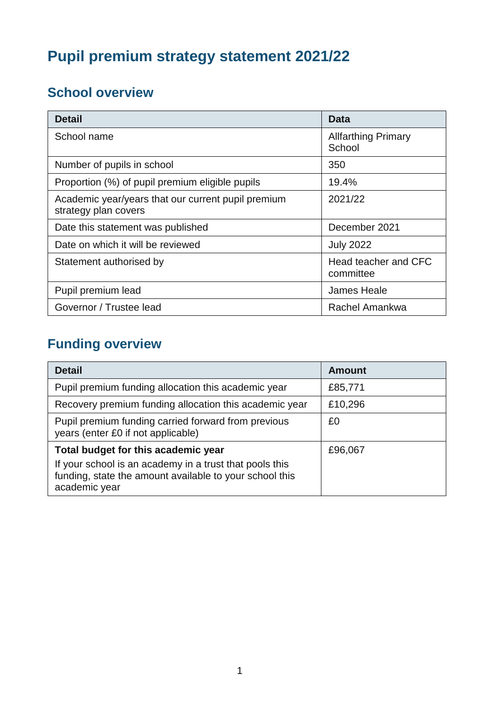# **Pupil premium strategy statement 2021/22**

## **School overview**

| <b>Detail</b>                                                              | Data                                 |
|----------------------------------------------------------------------------|--------------------------------------|
| School name                                                                | <b>Allfarthing Primary</b><br>School |
| Number of pupils in school                                                 | 350                                  |
| Proportion (%) of pupil premium eligible pupils                            | 19.4%                                |
| Academic year/years that our current pupil premium<br>strategy plan covers | 2021/22                              |
| Date this statement was published                                          | December 2021                        |
| Date on which it will be reviewed                                          | <b>July 2022</b>                     |
| Statement authorised by                                                    | Head teacher and CFC<br>committee    |
| Pupil premium lead                                                         | <b>James Heale</b>                   |
| Governor / Trustee lead                                                    | Rachel Amankwa                       |

## **Funding overview**

| <b>Detail</b>                                                                                                                                                              | <b>Amount</b> |
|----------------------------------------------------------------------------------------------------------------------------------------------------------------------------|---------------|
| Pupil premium funding allocation this academic year                                                                                                                        | £85,771       |
| Recovery premium funding allocation this academic year                                                                                                                     | £10,296       |
| Pupil premium funding carried forward from previous<br>years (enter £0 if not applicable)                                                                                  | £0            |
| Total budget for this academic year<br>If your school is an academy in a trust that pools this<br>funding, state the amount available to your school this<br>academic year | £96,067       |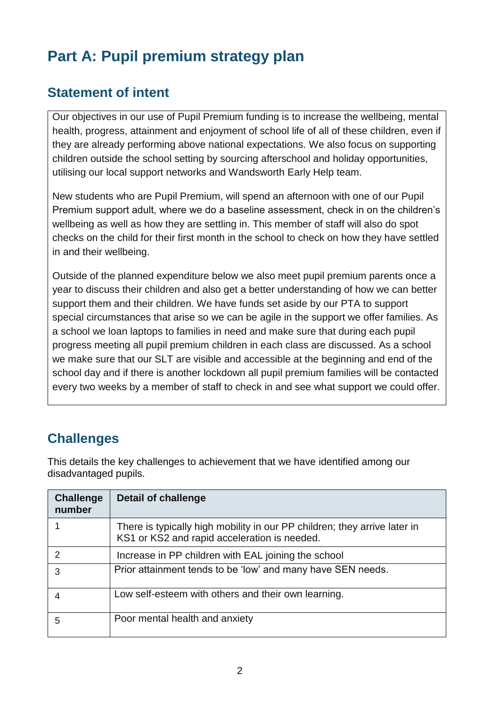# **Part A: Pupil premium strategy plan**

## **Statement of intent**

Our objectives in our use of Pupil Premium funding is to increase the wellbeing, mental health, progress, attainment and enjoyment of school life of all of these children, even if they are already performing above national expectations. We also focus on supporting children outside the school setting by sourcing afterschool and holiday opportunities, utilising our local support networks and Wandsworth Early Help team.

New students who are Pupil Premium, will spend an afternoon with one of our Pupil Premium support adult, where we do a baseline assessment, check in on the children's wellbeing as well as how they are settling in. This member of staff will also do spot checks on the child for their first month in the school to check on how they have settled in and their wellbeing.

Outside of the planned expenditure below we also meet pupil premium parents once a year to discuss their children and also get a better understanding of how we can better support them and their children. We have funds set aside by our PTA to support special circumstances that arise so we can be agile in the support we offer families. As a school we loan laptops to families in need and make sure that during each pupil progress meeting all pupil premium children in each class are discussed. As a school we make sure that our SLT are visible and accessible at the beginning and end of the school day and if there is another lockdown all pupil premium families will be contacted every two weeks by a member of staff to check in and see what support we could offer.

## **Challenges**

This details the key challenges to achievement that we have identified among our disadvantaged pupils.

| <b>Challenge</b><br>number | Detail of challenge                                                                                                       |
|----------------------------|---------------------------------------------------------------------------------------------------------------------------|
|                            | There is typically high mobility in our PP children; they arrive later in<br>KS1 or KS2 and rapid acceleration is needed. |
|                            | Increase in PP children with EAL joining the school                                                                       |
| 3                          | Prior attainment tends to be 'low' and many have SEN needs.                                                               |
|                            | Low self-esteem with others and their own learning.                                                                       |
| 5                          | Poor mental health and anxiety                                                                                            |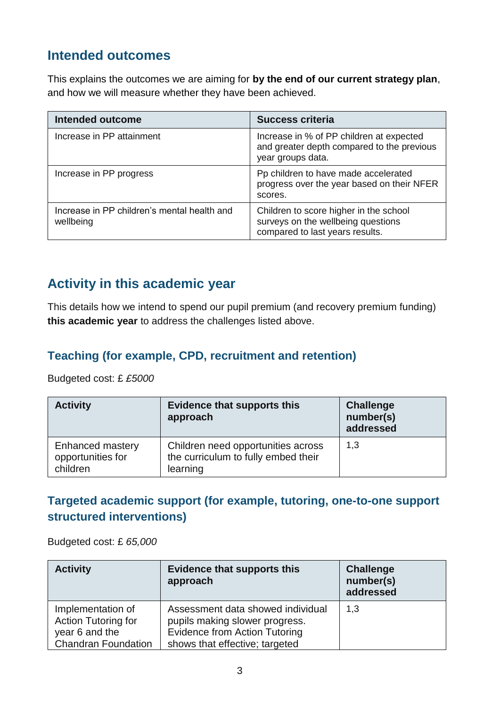## **Intended outcomes**

This explains the outcomes we are aiming for **by the end of our current strategy plan**, and how we will measure whether they have been achieved.

| <b>Intended outcome</b>                                  | <b>Success criteria</b>                                                                                         |
|----------------------------------------------------------|-----------------------------------------------------------------------------------------------------------------|
| Increase in PP attainment                                | Increase in % of PP children at expected<br>and greater depth compared to the previous<br>year groups data.     |
| Increase in PP progress                                  | Pp children to have made accelerated<br>progress over the year based on their NFER<br>scores.                   |
| Increase in PP children's mental health and<br>wellbeing | Children to score higher in the school<br>surveys on the wellbeing questions<br>compared to last years results. |

## **Activity in this academic year**

This details how we intend to spend our pupil premium (and recovery premium funding) **this academic year** to address the challenges listed above.

#### **Teaching (for example, CPD, recruitment and retention)**

Budgeted cost: £ *£5000*

| <b>Activity</b>                                   | <b>Evidence that supports this</b><br>approach                                        | <b>Challenge</b><br>number(s)<br>addressed |
|---------------------------------------------------|---------------------------------------------------------------------------------------|--------------------------------------------|
| Enhanced mastery<br>opportunities for<br>children | Children need opportunities across<br>the curriculum to fully embed their<br>learning | 1,3                                        |

#### **Targeted academic support (for example, tutoring, one-to-one support structured interventions)**

Budgeted cost: £ *65,000*

| <b>Activity</b>                                                                          | <b>Evidence that supports this</b><br>approach                                                                                                | <b>Challenge</b><br>number(s)<br>addressed |
|------------------------------------------------------------------------------------------|-----------------------------------------------------------------------------------------------------------------------------------------------|--------------------------------------------|
| Implementation of<br>Action Tutoring for<br>year 6 and the<br><b>Chandran Foundation</b> | Assessment data showed individual<br>pupils making slower progress.<br><b>Evidence from Action Tutoring</b><br>shows that effective; targeted | 1,3                                        |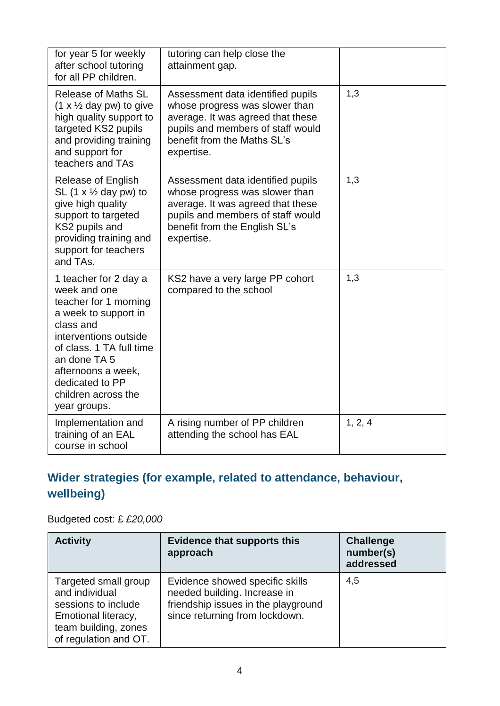| for year 5 for weekly<br>after school tutoring<br>for all PP children.                                                                                                                                                                                   | tutoring can help close the<br>attainment gap.                                                                                                                                               |         |
|----------------------------------------------------------------------------------------------------------------------------------------------------------------------------------------------------------------------------------------------------------|----------------------------------------------------------------------------------------------------------------------------------------------------------------------------------------------|---------|
| <b>Release of Maths SL</b><br>$(1 \times \frac{1}{2}$ day pw) to give<br>high quality support to<br>targeted KS2 pupils<br>and providing training<br>and support for<br>teachers and TAs                                                                 | Assessment data identified pupils<br>whose progress was slower than<br>average. It was agreed that these<br>pupils and members of staff would<br>benefit from the Maths SL's<br>expertise.   | 1,3     |
| <b>Release of English</b><br>SL $(1 \times \frac{1}{2}$ day pw) to<br>give high quality<br>support to targeted<br>KS2 pupils and<br>providing training and<br>support for teachers<br>and TAs.                                                           | Assessment data identified pupils<br>whose progress was slower than<br>average. It was agreed that these<br>pupils and members of staff would<br>benefit from the English SL's<br>expertise. | 1,3     |
| 1 teacher for 2 day a<br>week and one<br>teacher for 1 morning<br>a week to support in<br>class and<br>interventions outside<br>of class, 1 TA full time<br>an done TA 5<br>afternoons a week,<br>dedicated to PP<br>children across the<br>year groups. | KS2 have a very large PP cohort<br>compared to the school                                                                                                                                    | 1,3     |
| Implementation and<br>training of an EAL<br>course in school                                                                                                                                                                                             | A rising number of PP children<br>attending the school has EAL                                                                                                                               | 1, 2, 4 |

## **Wider strategies (for example, related to attendance, behaviour, wellbeing)**

#### Budgeted cost: £ *£20,000*

| <b>Activity</b>                                                                                                                       | <b>Evidence that supports this</b><br>approach                                                                                           | <b>Challenge</b><br>number(s)<br>addressed |
|---------------------------------------------------------------------------------------------------------------------------------------|------------------------------------------------------------------------------------------------------------------------------------------|--------------------------------------------|
| Targeted small group<br>and individual<br>sessions to include<br>Emotional literacy,<br>team building, zones<br>of regulation and OT. | Evidence showed specific skills<br>needed building. Increase in<br>friendship issues in the playground<br>since returning from lockdown. | 4,5                                        |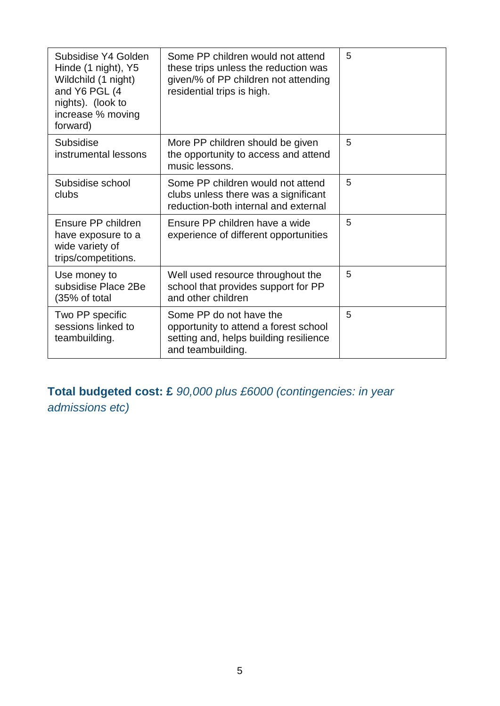| Subsidise Y4 Golden<br>Hinde (1 night), Y5<br>Wildchild (1 night)<br>and Y6 PGL (4<br>nights). (look to<br>increase % moving<br>forward) | Some PP children would not attend<br>these trips unless the reduction was<br>given/% of PP children not attending<br>residential trips is high. | 5 |
|------------------------------------------------------------------------------------------------------------------------------------------|-------------------------------------------------------------------------------------------------------------------------------------------------|---|
| Subsidise<br>instrumental lessons                                                                                                        | More PP children should be given<br>the opportunity to access and attend<br>music lessons.                                                      | 5 |
| Subsidise school<br>clubs                                                                                                                | Some PP children would not attend<br>clubs unless there was a significant<br>reduction-both internal and external                               | 5 |
| Ensure PP children<br>have exposure to a<br>wide variety of<br>trips/competitions.                                                       | Ensure PP children have a wide<br>experience of different opportunities                                                                         | 5 |
| Use money to<br>subsidise Place 2Be<br>(35% of total                                                                                     | Well used resource throughout the<br>school that provides support for PP<br>and other children                                                  | 5 |
| Two PP specific<br>sessions linked to<br>teambuilding.                                                                                   | Some PP do not have the<br>opportunity to attend a forest school<br>setting and, helps building resilience<br>and teambuilding.                 | 5 |

**Total budgeted cost: £** *90,000 plus £6000 (contingencies: in year admissions etc)*